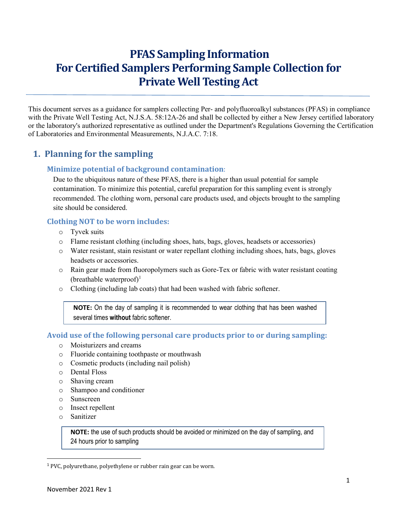# **PFAS Sampling Information For Certified Samplers Performing Sample Collection for Private Well Testing Act**

This document serves as a guidance for samplers collecting Per- and polyfluoroalkyl substances (PFAS) in compliance with the Private Well Testing Act, N.J.S.A. 58:12A-26 and shall be collected by either a New Jersey certified laboratory or the laboratory's authorized representative as outlined under the Department's Regulations Governing the Certification of Laboratories and Environmental Measurements, N.J.A.C. 7:18.

# **1. Planning for the sampling**

# **Minimize potential of background contamination**:

Due to the ubiquitous nature of these PFAS, there is a higher than usual potential for sample contamination. To minimize this potential, careful preparation for this sampling event is strongly recommended. The clothing worn, personal care products used, and objects brought to the sampling site should be considered.

# **Clothing NOT to be worn includes:**

- o Tyvek suits
- o Flame resistant clothing (including shoes, hats, bags, gloves, headsets or accessories)
- o Water resistant, stain resistant or water repellant clothing including shoes, hats, bags, gloves headsets or accessories.
- o Rain gear made from fluoropolymers such as Gore-Tex or fabric with water resistant coating (breathable waterproof)<sup>[1](#page-0-0)</sup>
- o Clothing (including lab coats) that had been washed with fabric softener.

**NOTE:** On the day of sampling it is recommended to wear clothing that has been washed several times **without** fabric softener.

# **Avoid use of the following personal care products prior to or during sampling:**

- o Moisturizers and creams
- o Fluoride containing toothpaste or mouthwash
- o Cosmetic products (including nail polish)
- o Dental Floss
- o Shaving cream
- o Shampoo and conditioner
- o Sunscreen
- o Insect repellent
- o Sanitizer

**NOTE:** the use of such products should be avoided or minimized on the day of sampling, and 24 hours prior to sampling

<span id="page-0-0"></span><sup>1</sup> PVC, polyurethane, polyethylene or rubber rain gear can be worn.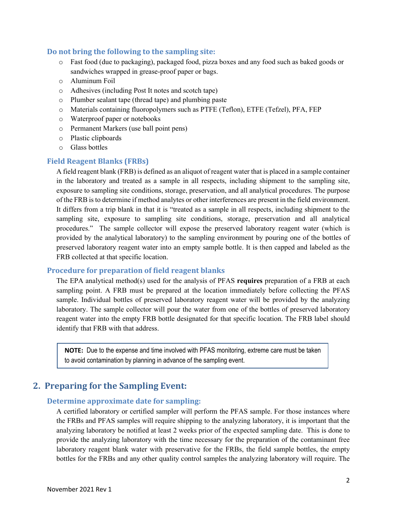## **Do not bring the following to the sampling site:**

- o Fast food (due to packaging), packaged food, pizza boxes and any food such as baked goods or sandwiches wrapped in grease-proof paper or bags.
- o Aluminum Foil
- o Adhesives (including Post It notes and scotch tape)
- o Plumber sealant tape (thread tape) and plumbing paste
- o Materials containing fluoropolymers such as PTFE (Teflon), ETFE (Tefzel), PFA, FEP
- o Waterproof paper or notebooks
- o Permanent Markers (use ball point pens)
- o Plastic clipboards
- o Glass bottles

## **Field Reagent Blanks (FRBs)**

A field reagent blank (FRB) is defined as an aliquot of reagent water that is placed in a sample container in the laboratory and treated as a sample in all respects, including shipment to the sampling site, exposure to sampling site conditions, storage, preservation, and all analytical procedures. The purpose of the FRB is to determine if method analytes or other interferences are present in the field environment. It differs from a trip blank in that it is "treated as a sample in all respects, including shipment to the sampling site, exposure to sampling site conditions, storage, preservation and all analytical procedures." The sample collector will expose the preserved laboratory reagent water (which is provided by the analytical laboratory) to the sampling environment by pouring one of the bottles of preserved laboratory reagent water into an empty sample bottle. It is then capped and labeled as the FRB collected at that specific location.

#### **Procedure for preparation of field reagent blanks**

The EPA analytical method(s) used for the analysis of PFAS **requires** preparation of a FRB at each sampling point. A FRB must be prepared at the location immediately before collecting the PFAS sample. Individual bottles of preserved laboratory reagent water will be provided by the analyzing laboratory. The sample collector will pour the water from one of the bottles of preserved laboratory reagent water into the empty FRB bottle designated for that specific location. The FRB label should identify that FRB with that address.

**NOTE:** Due to the expense and time involved with PFAS monitoring, extreme care must be taken to avoid contamination by planning in advance of the sampling event.

# **2. Preparing for the Sampling Event:**

#### **Determine approximate date for sampling:**

A certified laboratory or certified sampler will perform the PFAS sample. For those instances where the FRBs and PFAS samples will require shipping to the analyzing laboratory, it is important that the analyzing laboratory be notified at least 2 weeks prior of the expected sampling date. This is done to provide the analyzing laboratory with the time necessary for the preparation of the contaminant free laboratory reagent blank water with preservative for the FRBs, the field sample bottles, the empty bottles for the FRBs and any other quality control samples the analyzing laboratory will require. The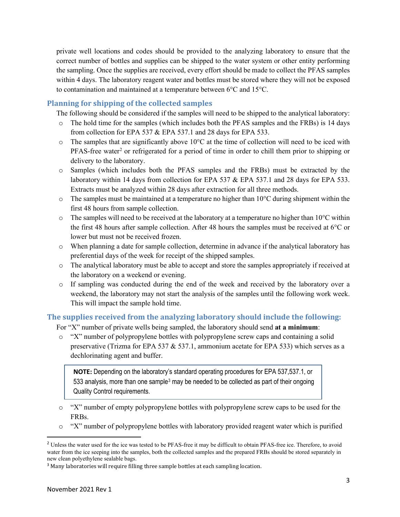private well locations and codes should be provided to the analyzing laboratory to ensure that the correct number of bottles and supplies can be shipped to the water system or other entity performing the sampling. Once the supplies are received, every effort should be made to collect the PFAS samples within 4 days. The laboratory reagent water and bottles must be stored where they will not be exposed to contamination and maintained at a temperature between 6°C and 15°C.

# **Planning for shipping of the collected samples**

The following should be considered if the samples will need to be shipped to the analytical laboratory:

- o The hold time for the samples (which includes both the PFAS samples and the FRBs) is 14 days from collection for EPA 537 & EPA 537.1 and 28 days for EPA 533.
- $\circ$  The samples that are significantly above 10 $\degree$ C at the time of collection will need to be iced with PFAS-free water<sup>[2](#page-2-0)</sup> or refrigerated for a period of time in order to chill them prior to shipping or delivery to the laboratory.
- o Samples (which includes both the PFAS samples and the FRBs) must be extracted by the laboratory within 14 days from collection for EPA 537 & EPA 537.1 and 28 days for EPA 533. Extracts must be analyzed within 28 days after extraction for all three methods.
- $\circ$  The samples must be maintained at a temperature no higher than 10 $\circ$ C during shipment within the first 48 hours from sample collection.
- $\circ$  The samples will need to be received at the laboratory at a temperature no higher than 10°C within the first 48 hours after sample collection. After 48 hours the samples must be received at 6°C or lower but must not be received frozen.
- o When planning a date for sample collection, determine in advance if the analytical laboratory has preferential days of the week for receipt of the shipped samples.
- o The analytical laboratory must be able to accept and store the samples appropriately if received at the laboratory on a weekend or evening.
- o If sampling was conducted during the end of the week and received by the laboratory over a weekend, the laboratory may not start the analysis of the samples until the following work week. This will impact the sample hold time.

## **The supplies received from the analyzing laboratory should include the following:**

For "X" number of private wells being sampled, the laboratory should send **at a minimum**:

o "X" number of polypropylene bottles with polypropylene screw caps and containing a solid preservative (Trizma for EPA 537 & 537.1, ammonium acetate for EPA 533) which serves as a dechlorinating agent and buffer.

**NOTE:** Depending on the laboratory's standard operating procedures for EPA 537,537.1, or 5[3](#page-2-1)3 analysis, more than one sample<sup>3</sup> may be needed to be collected as part of their ongoing Quality Control requirements.

- o "X" number of empty polypropylene bottles with polypropylene screw caps to be used for the FRBs.
- o "X" number of polypropylene bottles with laboratory provided reagent water which is purified

<span id="page-2-0"></span><sup>&</sup>lt;sup>2</sup> Unless the water used for the ice was tested to be PFAS-free it may be difficult to obtain PFAS-free ice. Therefore, to avoid water from the ice seeping into the samples, both the collected samples and the prepared FRBs should be stored separately in new clean polyethylene sealable bags.

<span id="page-2-1"></span><sup>&</sup>lt;sup>3</sup> Many laboratories will require filling three sample bottles at each sampling location.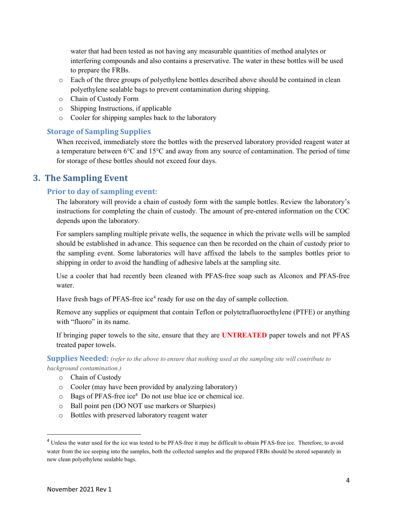water that had been tested as not having any measurable quantities of method analytes or interfering compounds and also contains a preservative. The water in these bottles will be used to prepare the FRBs.

- o Each of the three groups of polyethylene bottles described above should be contained in clean polyethylene sealable bags to prevent contamination during shipping.
- o Chain of Custody Form
- o Shipping Instructions, if applicable
- o Cooler for shipping samples back to the laboratory

#### **Storage of Sampling Supplies**

When received, immediately store the bottles with the preserved laboratory provided reagent water at a temperature between 6°C and 15°C and away from any source of contamination. The period of time for storage of these bottles should not exceed four days.

# **3. The Sampling Event**

## **Prior to day of sampling event:**

The laboratory will provide a chain of custody form with the sample bottles. Review the laboratory's instructions for completing the chain of custody. The amount of pre-entered information on the COC depends upon the laboratory.

For samplers sampling multiple private wells, the sequence in which the private wells will be sampled should be established in advance. This sequence can then be recorded on the chain of custody prior to the sampling event. Some laboratories will have affixed the labels to the samples bottles prior to shipping in order to avoid the handling of adhesive labels at the sampling site.

Use a cooler that had recently been cleaned with PFAS-free soap such as Alconox and PFAS-free water.

Have fresh bags of PFAS-free ice<sup>[4](#page-3-0)</sup> ready for use on the day of sample collection.

Remove any supplies or equipment that contain Teflon or polytetrafluoroethylene (PTFE) or anything with "fluoro" in its name.

If bringing paper towels to the site, ensure that they are **UNTREATED** paper towels and not PFAS treated paper towels.

**Supplies Needed:** *(refer to the above to ensure that nothing used at the sampling site will contribute to background contamination.)*

- o Chain of Custody
- o Cooler (may have been provided by analyzing laboratory)
- o Bags of PFAS-free ice4 Do not use blue ice or chemical ice.
- o Ball point pen (DO NOT use markers or Sharpies)
- o Bottles with preserved laboratory reagent water

<span id="page-3-0"></span><sup>&</sup>lt;sup>4</sup> Unless the water used for the ice was tested to be PFAS-free it may be difficult to obtain PFAS-free ice. Therefore, to avoid water from the ice seeping into the samples, both the collected samples and the prepared FRBs should be stored separately in new clean polyethylene sealable bags.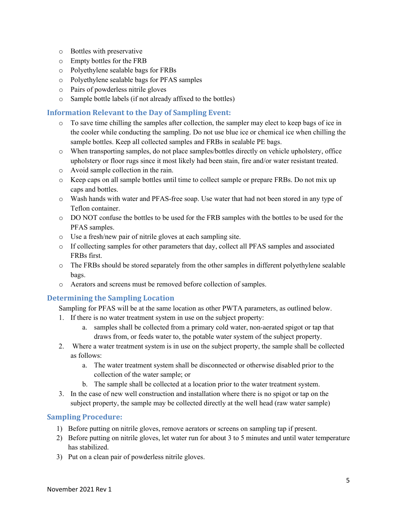- o Bottles with preservative
- o Empty bottles for the FRB
- o Polyethylene sealable bags for FRBs
- o Polyethylene sealable bags for PFAS samples
- o Pairs of powderless nitrile gloves
- o Sample bottle labels (if not already affixed to the bottles)

# **Information Relevant to the Day of Sampling Event:**

- o To save time chilling the samples after collection, the sampler may elect to keep bags of ice in the cooler while conducting the sampling. Do not use blue ice or chemical ice when chilling the sample bottles. Keep all collected samples and FRBs in sealable PE bags.
- o When transporting samples, do not place samples/bottles directly on vehicle upholstery, office upholstery or floor rugs since it most likely had been stain, fire and/or water resistant treated.
- o Avoid sample collection in the rain.
- o Keep caps on all sample bottles until time to collect sample or prepare FRBs. Do not mix up caps and bottles.
- o Wash hands with water and PFAS-free soap. Use water that had not been stored in any type of Teflon container.
- o DO NOT confuse the bottles to be used for the FRB samples with the bottles to be used for the PFAS samples.
- o Use a fresh/new pair of nitrile gloves at each sampling site.
- o If collecting samples for other parameters that day, collect all PFAS samples and associated FRBs first.
- o The FRBs should be stored separately from the other samples in different polyethylene sealable bags.
- o Aerators and screens must be removed before collection of samples.

# **Determining the Sampling Location**

Sampling for PFAS will be at the same location as other PWTA parameters, as outlined below.

- 1. If there is no water treatment system in use on the subject property:
	- a. samples shall be collected from a primary cold water, non-aerated spigot or tap that draws from, or feeds water to, the potable water system of the subject property.
- 2. Where a water treatment system is in use on the subject property, the sample shall be collected as follows:
	- a. The water treatment system shall be disconnected or otherwise disabled prior to the collection of the water sample; or
	- b. The sample shall be collected at a location prior to the water treatment system.
- 3. In the case of new well construction and installation where there is no spigot or tap on the subject property, the sample may be collected directly at the well head (raw water sample)

# **Sampling Procedure:**

- 1) Before putting on nitrile gloves, remove aerators or screens on sampling tap if present.
- 2) Before putting on nitrile gloves, let water run for about 3 to 5 minutes and until water temperature has stabilized.
- 3) Put on a clean pair of powderless nitrile gloves.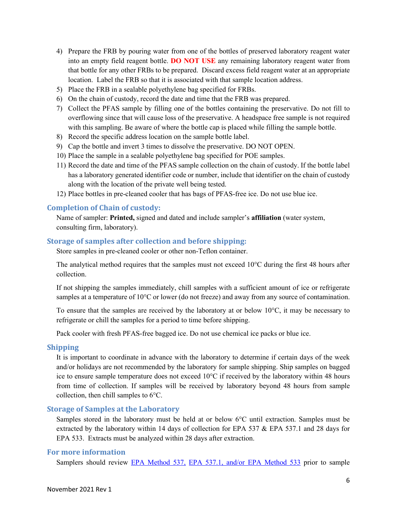- 4) Prepare the FRB by pouring water from one of the bottles of preserved laboratory reagent water into an empty field reagent bottle. **DO NOT USE** any remaining laboratory reagent water from that bottle for any other FRBs to be prepared. Discard excess field reagent water at an appropriate location. Label the FRB so that it is associated with that sample location address.
- 5) Place the FRB in a sealable polyethylene bag specified for FRBs.
- 6) On the chain of custody, record the date and time that the FRB was prepared.
- 7) Collect the PFAS sample by filling one of the bottles containing the preservative. Do not fill to overflowing since that will cause loss of the preservative. A headspace free sample is not required with this sampling. Be aware of where the bottle cap is placed while filling the sample bottle.
- 8) Record the specific address location on the sample bottle label.
- 9) Cap the bottle and invert 3 times to dissolve the preservative. DO NOT OPEN.
- 10) Place the sample in a sealable polyethylene bag specified for POE samples.
- 11) Record the date and time of the PFAS sample collection on the chain of custody. If the bottle label has a laboratory generated identifier code or number, include that identifier on the chain of custody along with the location of the private well being tested.
- 12) Place bottles in pre-cleaned cooler that has bags of PFAS-free ice. Do not use blue ice.

## **Completion of Chain of custody:**

Name of sampler: **Printed,** signed and dated and include sampler's **affiliation** (water system, consulting firm, laboratory).

## **Storage of samples after collection and before shipping:**

Store samples in pre-cleaned cooler or other non-Teflon container.

The analytical method requires that the samples must not exceed  $10^{\circ}$ C during the first 48 hours after collection.

If not shipping the samples immediately, chill samples with a sufficient amount of ice or refrigerate samples at a temperature of 10<sup>o</sup>C or lower (do not freeze) and away from any source of contamination.

To ensure that the samples are received by the laboratory at or below 10°C, it may be necessary to refrigerate or chill the samples for a period to time before shipping.

Pack cooler with fresh PFAS-free bagged ice. Do not use chemical ice packs or blue ice.

#### **Shipping**

It is important to coordinate in advance with the laboratory to determine if certain days of the week and/or holidays are not recommended by the laboratory for sample shipping. Ship samples on bagged ice to ensure sample temperature does not exceed 10°C if received by the laboratory within 48 hours from time of collection. If samples will be received by laboratory beyond 48 hours from sample collection, then chill samples to 6°C.

## **Storage of Samples at the Laboratory**

Samples stored in the laboratory must be held at or below 6°C until extraction. Samples must be extracted by the laboratory within 14 days of collection for EPA 537 & EPA 537.1 and 28 days for EPA 533. Extracts must be analyzed within 28 days after extraction.

## **For more information**

Samplers should review [EPA Method 537,](https://nepis.epa.gov/Exe/ZyNET.exe/P100EQ6W.TXT?ZyActionD=ZyDocument&Client=EPA&Index=2006+Thru+2010&Docs=&Query=&Time=&EndTime=&SearchMethod=1&TocRestrict=n&Toc=&TocEntry=&QField=&QFieldYear=&QFieldMonth=&QFieldDay=&IntQFieldOp=0&ExtQFieldOp=0&XmlQuery=&File=D%3A%5Czyfiles%5CIndex%20Data%5C06thru10%5CTxt%5C00000032%5CP100EQ6W.txt&User=ANONYMOUS&Password=anonymous&SortMethod=h%7C-&MaximumDocuments=1&FuzzyDegree=0&ImageQuality=r75g8/r75g8/x150y150g16/i425&Display=hpfr&DefSeekPage=x&SearchBack=ZyActionL&Back=ZyActionS&BackDesc=Results%20page&MaximumPages=1&ZyEntry=1&SeekPage=x&ZyPURL) [EPA 537.1,](https://cfpub.epa.gov/si/si_public_file_download.cfm?p_download_id=537290&Lab=NERL) and/or [EPA Method 533](https://www.epa.gov/sites/default/files/2019-12/documents/method-533-815b19020.pdf) prior to sample